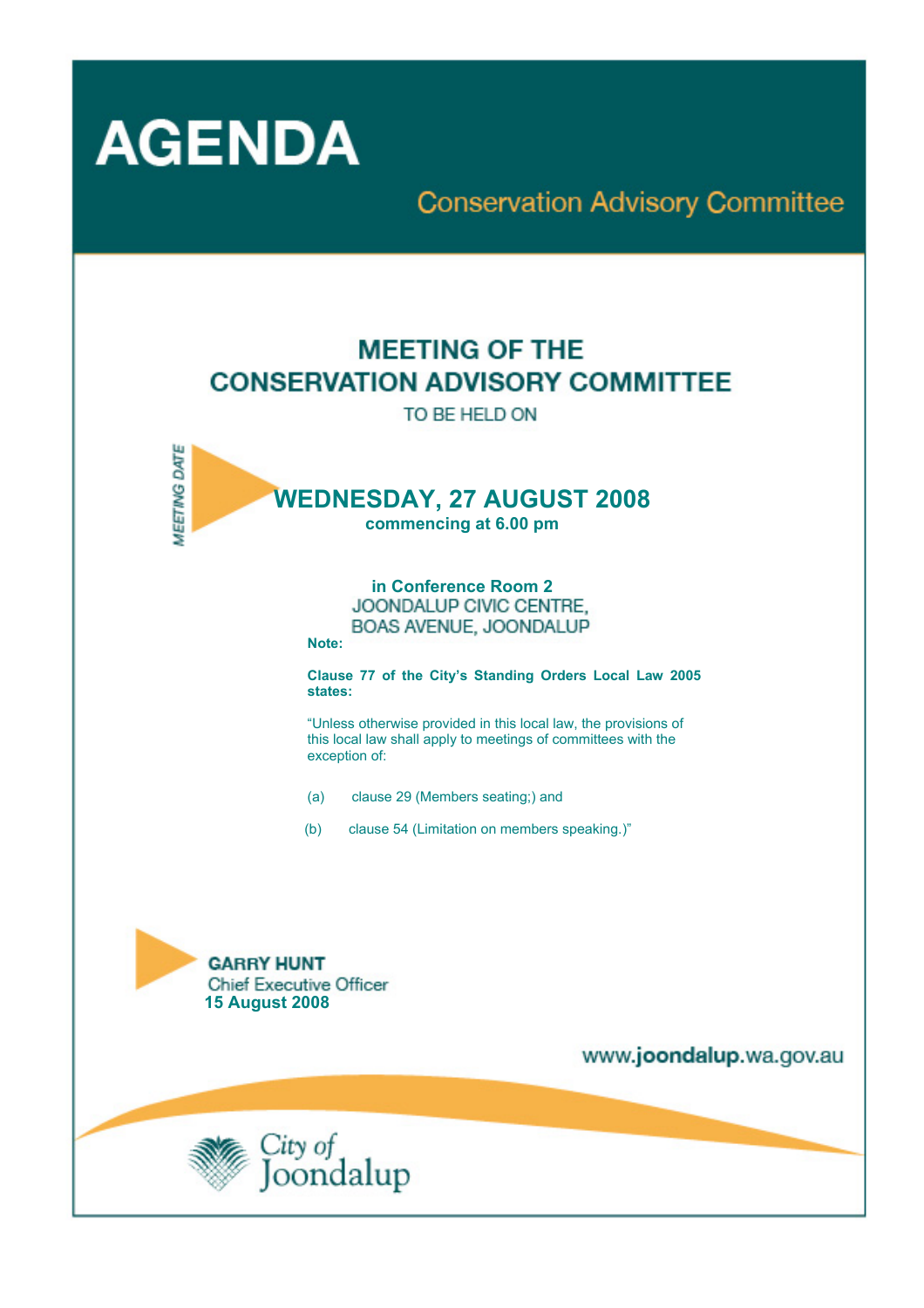

# **Conservation Advisory Committee**

# **MEETING OF THE CONSERVATION ADVISORY COMMITTEE**

TO BE HELD ON



**in Conference Room 2**  BOAS AVENUE, JOONDALUP

**Note:** 

**Clause 77 of the City's Standing Orders Local Law 2005 states:** 

"Unless otherwise provided in this local law, the provisions of this local law shall apply to meetings of committees with the exception of:

- (a) clause 29 (Members seating;) and
- (b) clause 54 (Limitation on members speaking.)"



www.joondalup.wa.gov.au

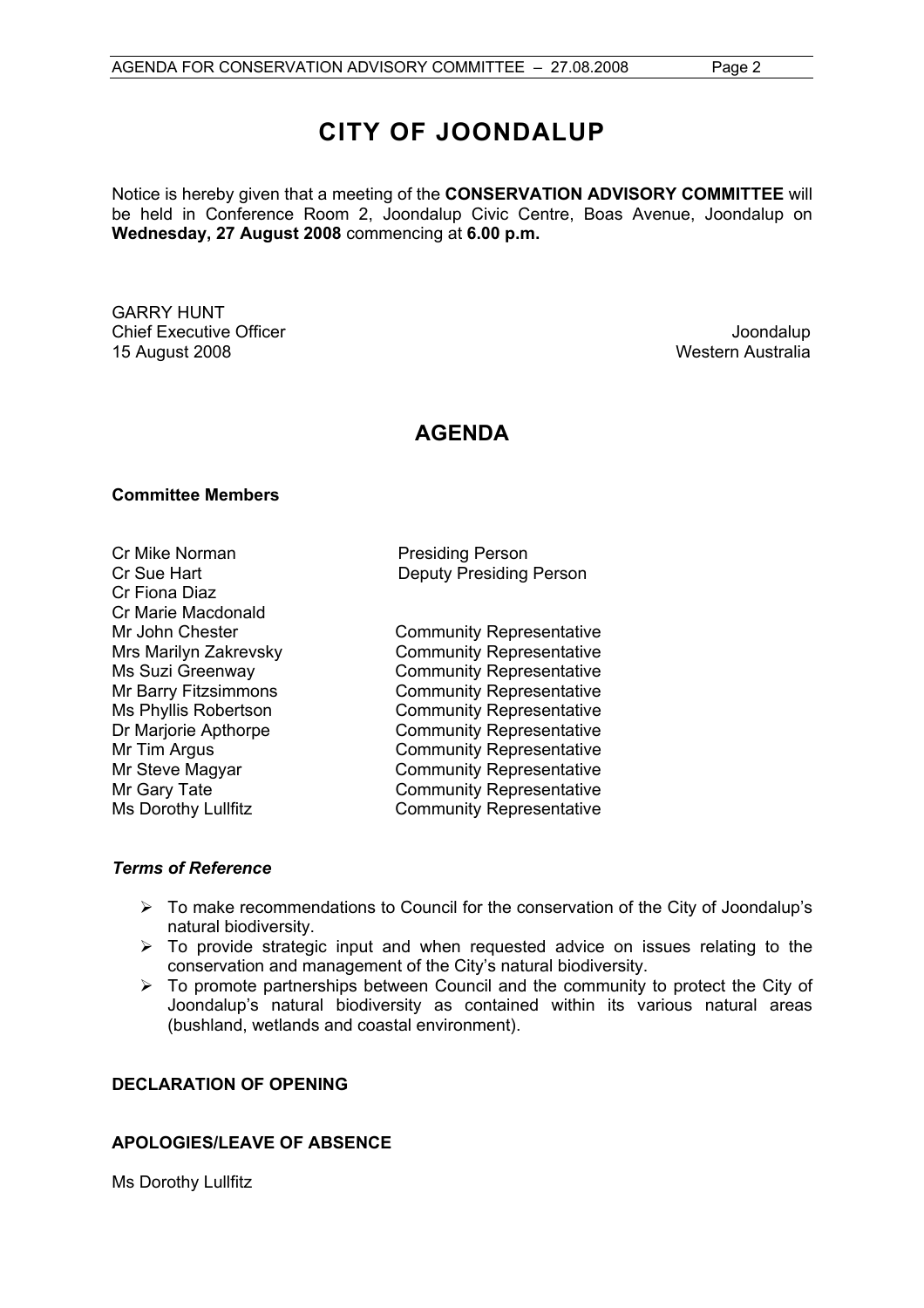# **CITY OF JOONDALUP**

Notice is hereby given that a meeting of the **CONSERVATION ADVISORY COMMITTEE** will be held in Conference Room 2, Joondalup Civic Centre, Boas Avenue, Joondalup on **Wednesday, 27 August 2008** commencing at **6.00 p.m.** 

GARRY HUNT **Chief Executive Officer Chief Executive Officer Joondalup** 15 August 2008 Western Australia

# **AGENDA**

# **Committee Members**

Cr Mike Norman **Presiding Person** Cr Fiona Diaz Cr Marie Macdonald

Cr Sue Hart Deputy Presiding Person

Mr John Chester Community Representative Mrs Marilyn Zakrevsky Community Representative Ms Suzi Greenway **Community Representative**<br>Mr Barry Fitzsimmons **Community Representative** Community Representative Ms Phyllis Robertson Community Representative Dr Marjorie Apthorpe Community Representative Mr Tim Argus **Community Representative** Mr Steve Magyar **Community Representative** Mr Gary Tate **Community Representative** Ms Dorothy Lullfitz Community Representative

# *Terms of Reference*

- $\triangleright$  To make recommendations to Council for the conservation of the City of Joondalup's natural biodiversity.
- $\triangleright$  To provide strategic input and when requested advice on issues relating to the conservation and management of the City's natural biodiversity.
- $\triangleright$  To promote partnerships between Council and the community to protect the City of Joondalup's natural biodiversity as contained within its various natural areas (bushland, wetlands and coastal environment).

# **DECLARATION OF OPENING**

# **APOLOGIES/LEAVE OF ABSENCE**

Ms Dorothy Lullfitz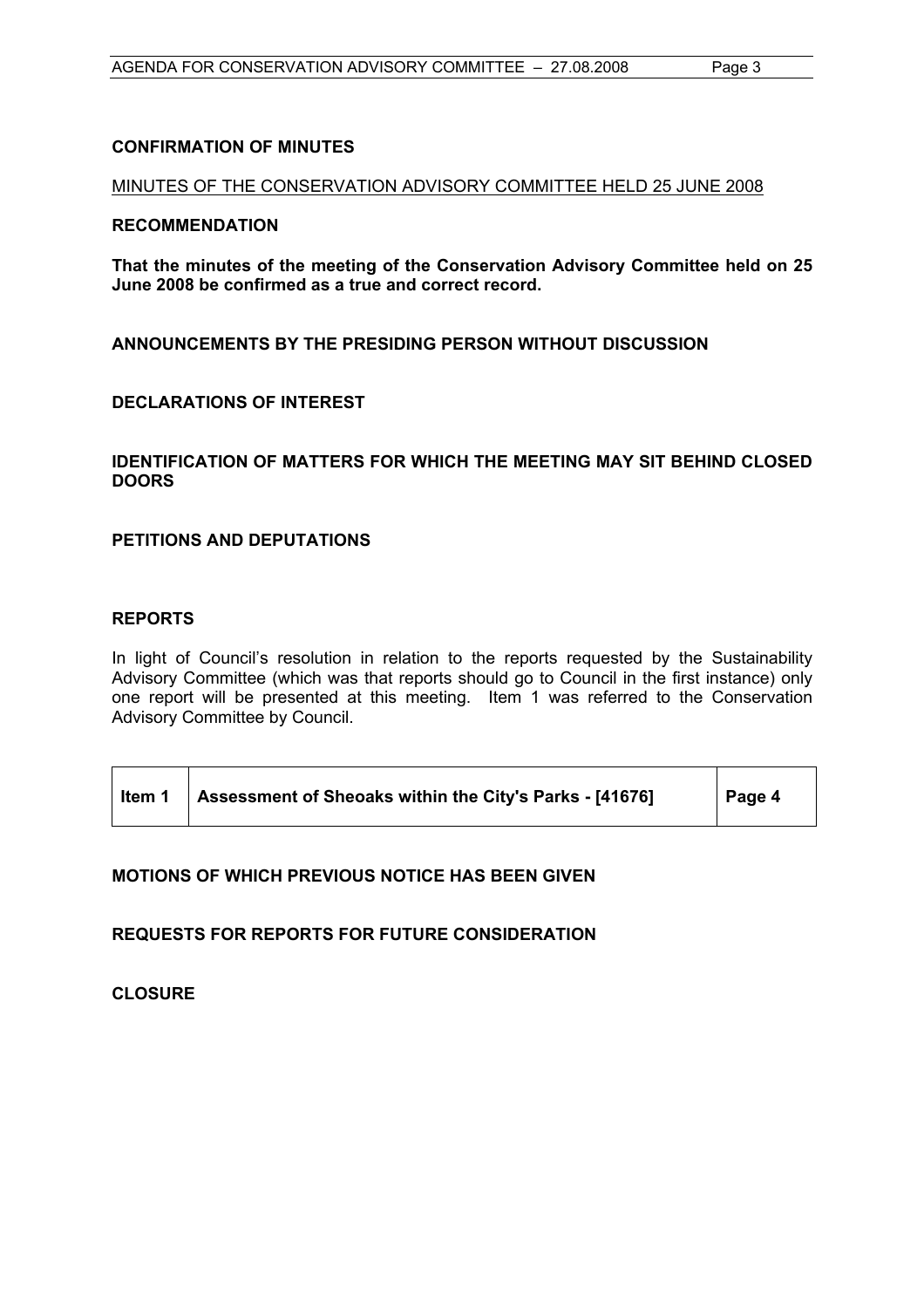## **CONFIRMATION OF MINUTES**

# MINUTES OF THE CONSERVATION ADVISORY COMMITTEE HELD 25 JUNE 2008

#### **RECOMMENDATION**

**That the minutes of the meeting of the Conservation Advisory Committee held on 25 June 2008 be confirmed as a true and correct record.** 

**ANNOUNCEMENTS BY THE PRESIDING PERSON WITHOUT DISCUSSION** 

# **DECLARATIONS OF INTEREST**

# **IDENTIFICATION OF MATTERS FOR WHICH THE MEETING MAY SIT BEHIND CLOSED DOORS**

# **PETITIONS AND DEPUTATIONS**

## **REPORTS**

In light of Council's resolution in relation to the reports requested by the Sustainability Advisory Committee (which was that reports should go to Council in the first instance) only one report will be presented at this meeting. Item 1 was referred to the Conservation Advisory Committee by Council.

| Item 1 | Assessment of Sheoaks within the City's Parks - [41676] | Page 4 |
|--------|---------------------------------------------------------|--------|
|--------|---------------------------------------------------------|--------|

# **MOTIONS OF WHICH PREVIOUS NOTICE HAS BEEN GIVEN**

# **REQUESTS FOR REPORTS FOR FUTURE CONSIDERATION**

**CLOSURE**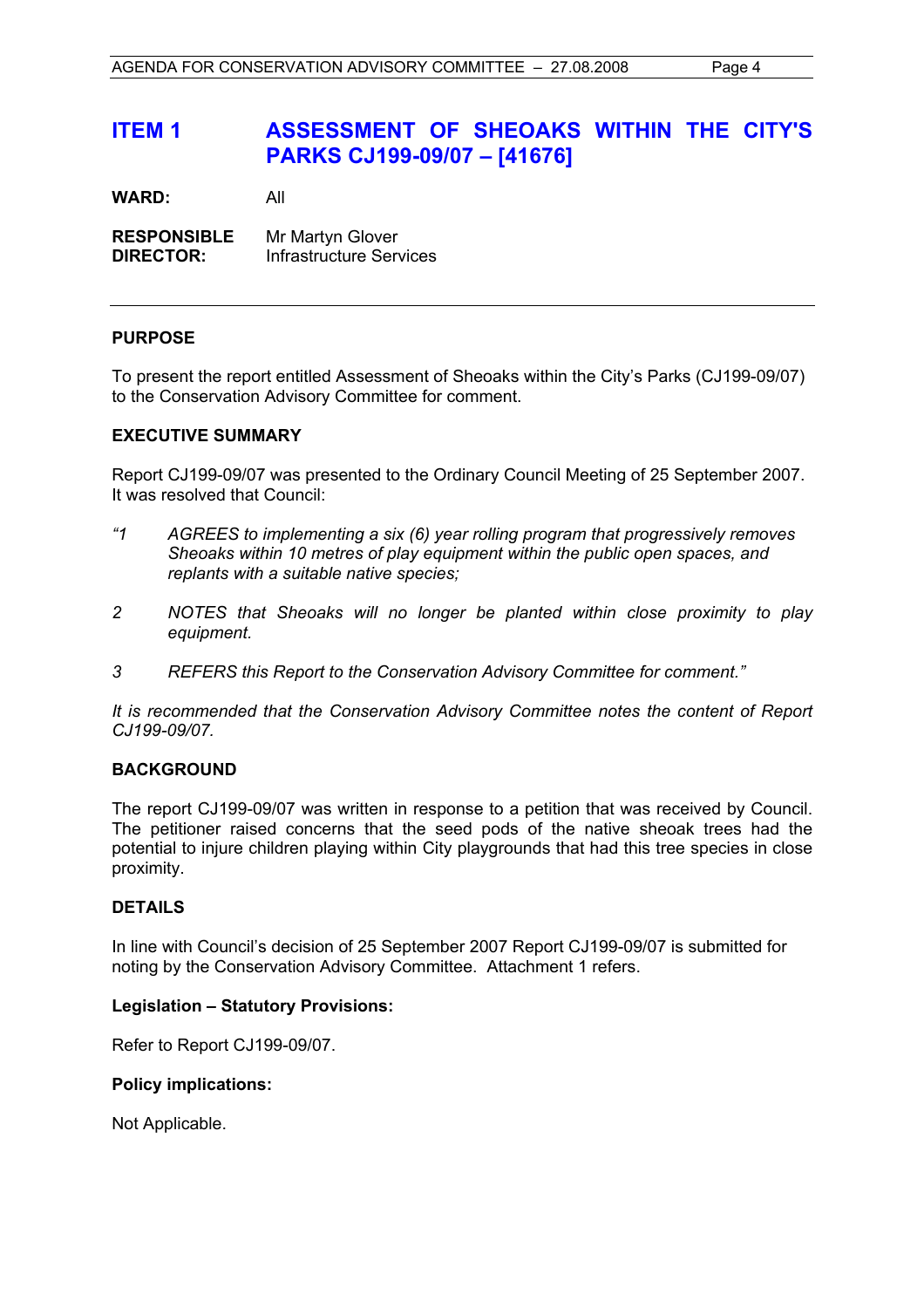# **ITEM 1 ASSESSMENT OF SHEOAKS WITHIN THE CITY'S PARKS CJ199-09/07 – [41676]**

**WARD:** All

**RESPONSIBLE** Mr Martyn Glover **DIRECTOR:** Infrastructure Services

# **PURPOSE**

To present the report entitled Assessment of Sheoaks within the City's Parks (CJ199-09/07) to the Conservation Advisory Committee for comment.

## **EXECUTIVE SUMMARY**

Report CJ199-09/07 was presented to the Ordinary Council Meeting of 25 September 2007. It was resolved that Council:

- *"1 AGREES to implementing a six (6) year rolling program that progressively removes Sheoaks within 10 metres of play equipment within the public open spaces, and replants with a suitable native species;*
- *2 NOTES that Sheoaks will no longer be planted within close proximity to play equipment.*
- *3 REFERS this Report to the Conservation Advisory Committee for comment."*

*It is recommended that the Conservation Advisory Committee notes the content of Report CJ199-09/07.* 

## **BACKGROUND**

The report CJ199-09/07 was written in response to a petition that was received by Council. The petitioner raised concerns that the seed pods of the native sheoak trees had the potential to injure children playing within City playgrounds that had this tree species in close proximity.

## **DETAILS**

In line with Council's decision of 25 September 2007 Report CJ199-09/07 is submitted for noting by the Conservation Advisory Committee. Attachment 1 refers.

## **Legislation – Statutory Provisions:**

Refer to Report CJ199-09/07.

## **Policy implications:**

Not Applicable.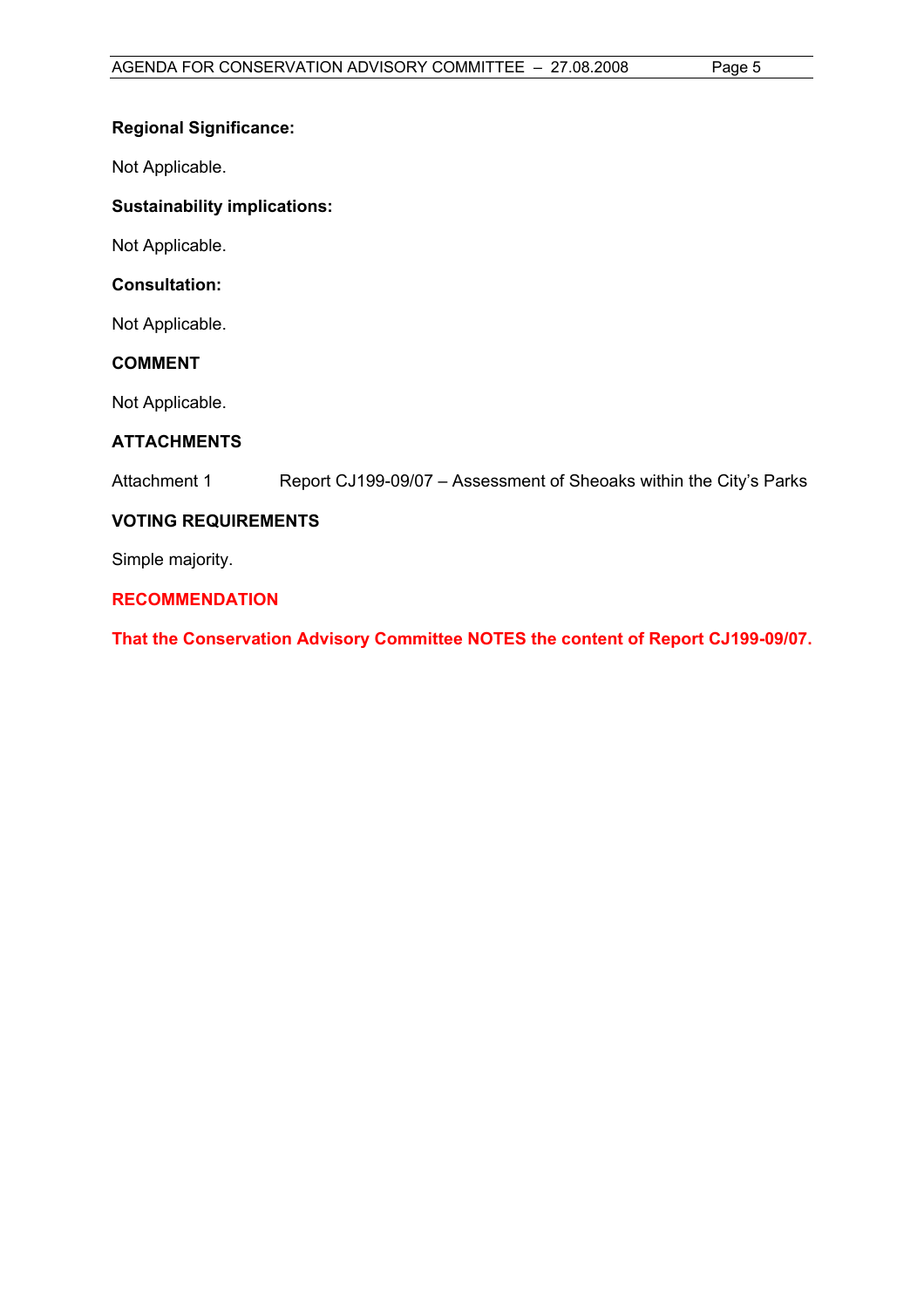# **Regional Significance:**

Not Applicable.

# **Sustainability implications:**

Not Applicable.

# **Consultation:**

Not Applicable.

# **COMMENT**

Not Applicable.

# **ATTACHMENTS**

Attachment 1 Report CJ199-09/07 – Assessment of Sheoaks within the City's Parks

# **VOTING REQUIREMENTS**

Simple majority.

# **RECOMMENDATION**

**That the Conservation Advisory Committee NOTES the content of Report CJ199-09/07.**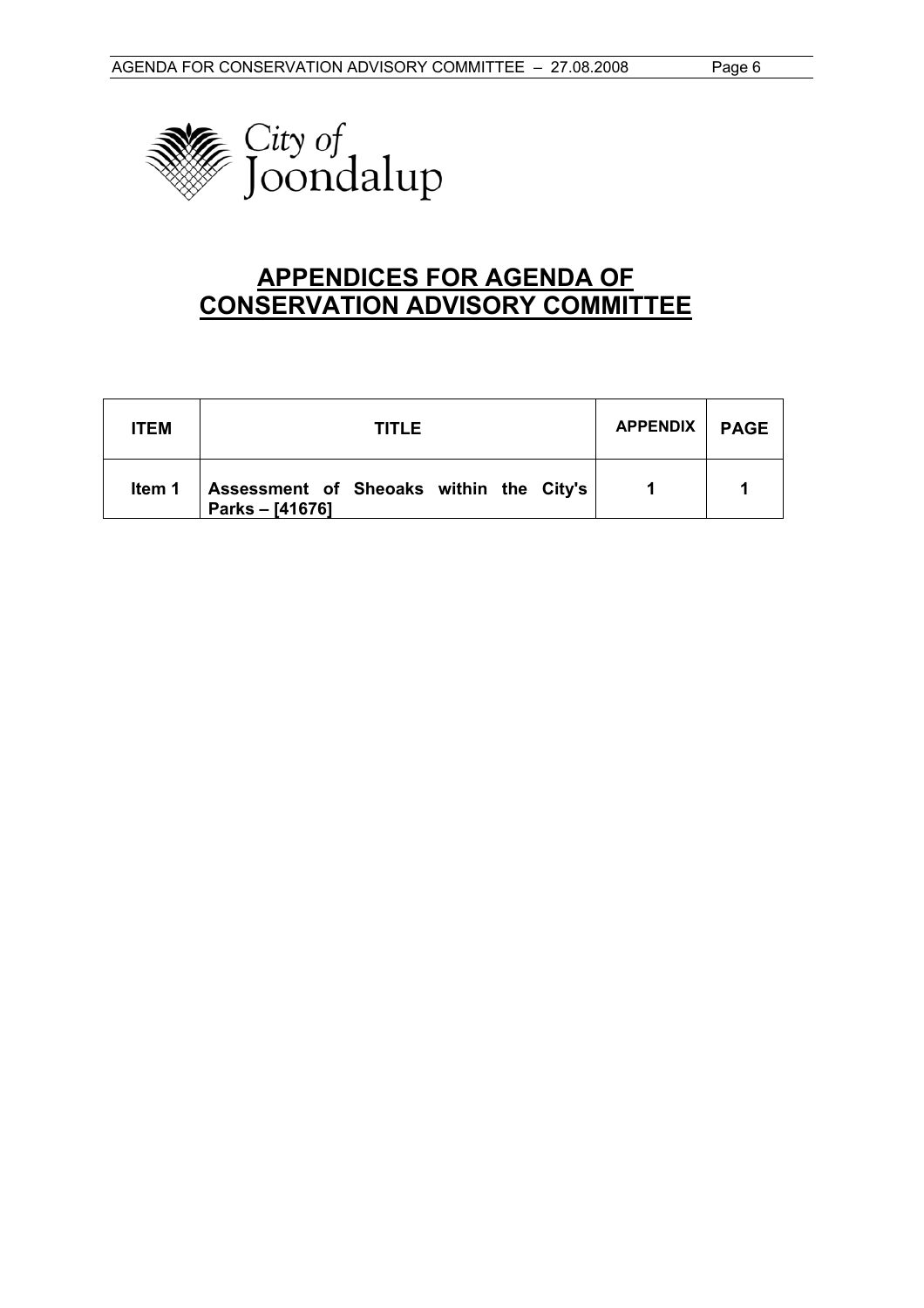

# **APPENDICES FOR AGENDA OF CONSERVATION ADVISORY COMMITTEE**

| <b>ITEM</b> | TITLEI                                                     | APPENDIX | <b>PAGE</b> |
|-------------|------------------------------------------------------------|----------|-------------|
| ltem 1      | Assessment of Sheoaks within the City's<br>Parks - [41676] |          |             |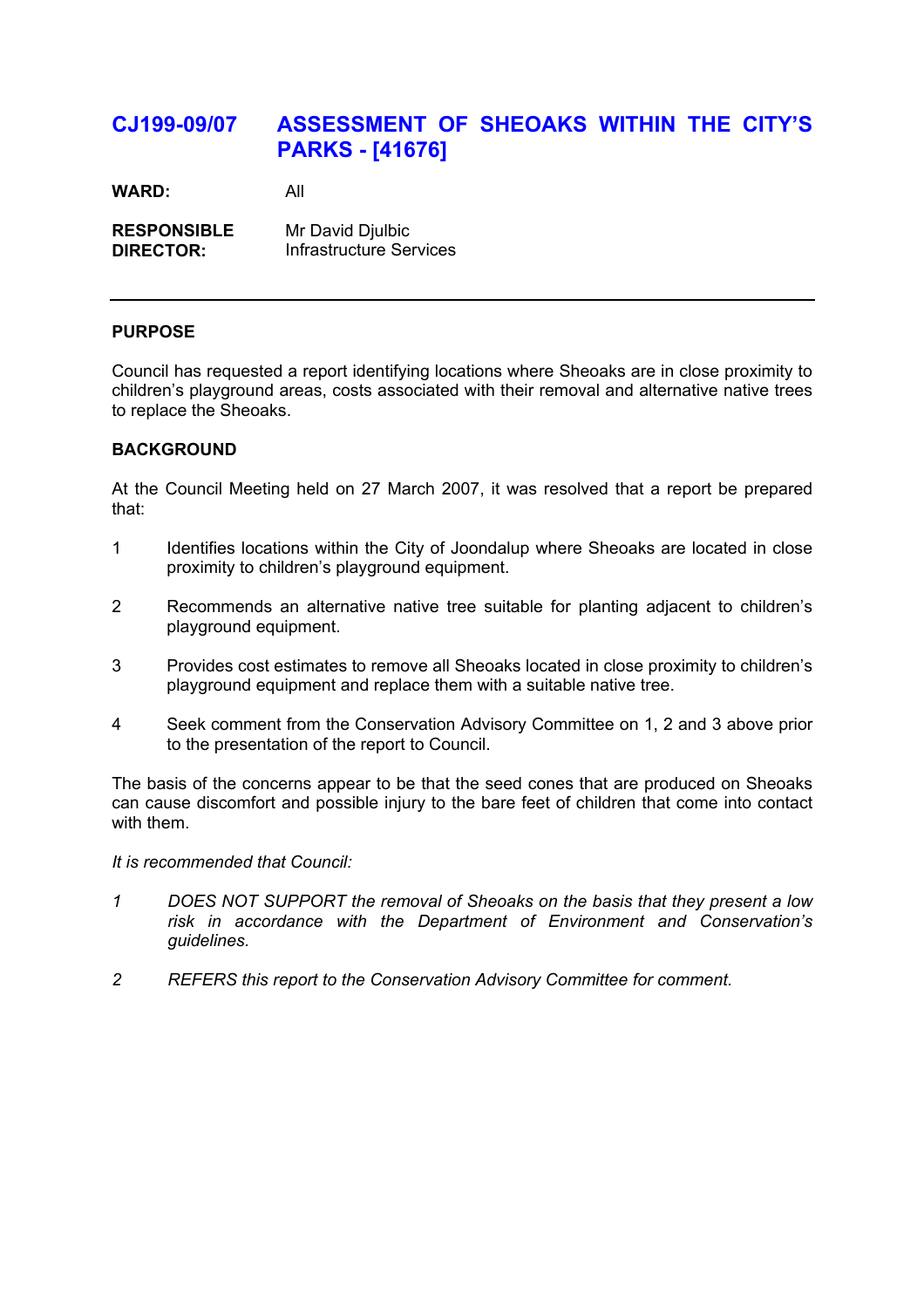# **CJ199-09/07 ASSESSMENT OF SHEOAKS WITHIN THE CITY'S PARKS - [41676]**

**WARD:** All

**RESPONSIBLE** Mr David Djulbic **DIRECTOR:** Infrastructure Services

# **PURPOSE**

Council has requested a report identifying locations where Sheoaks are in close proximity to children's playground areas, costs associated with their removal and alternative native trees to replace the Sheoaks.

# **BACKGROUND**

At the Council Meeting held on 27 March 2007, it was resolved that a report be prepared that:

- 1 Identifies locations within the City of Joondalup where Sheoaks are located in close proximity to children's playground equipment.
- 2 Recommends an alternative native tree suitable for planting adjacent to children's playground equipment.
- 3 Provides cost estimates to remove all Sheoaks located in close proximity to children's playground equipment and replace them with a suitable native tree.
- 4 Seek comment from the Conservation Advisory Committee on 1, 2 and 3 above prior to the presentation of the report to Council.

The basis of the concerns appear to be that the seed cones that are produced on Sheoaks can cause discomfort and possible injury to the bare feet of children that come into contact with them.

*It is recommended that Council:* 

- *1 DOES NOT SUPPORT the removal of Sheoaks on the basis that they present a low risk in accordance with the Department of Environment and Conservation's guidelines.*
- *2 REFERS this report to the Conservation Advisory Committee for comment.*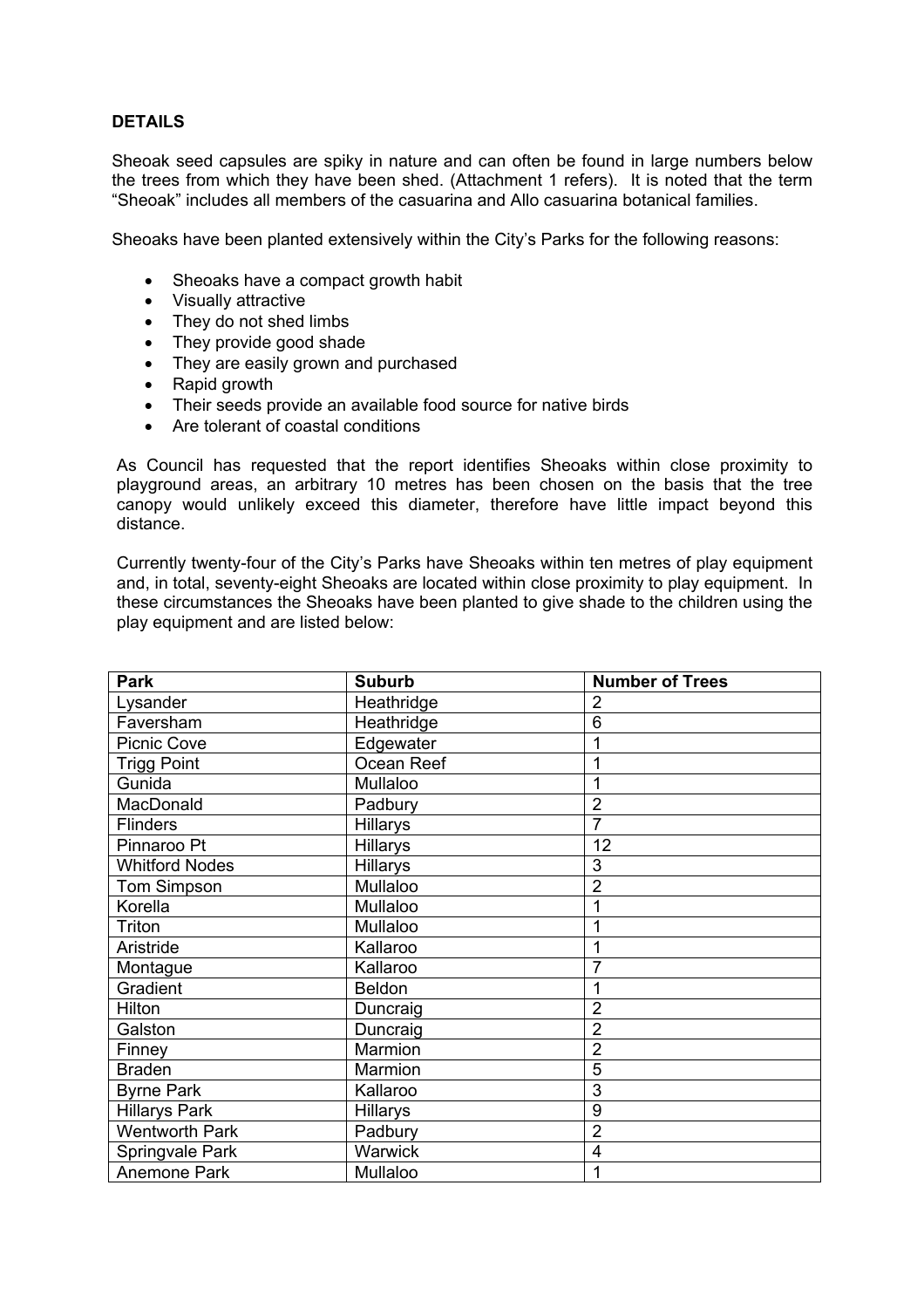# **DETAILS**

Sheoak seed capsules are spiky in nature and can often be found in large numbers below the trees from which they have been shed. (Attachment 1 refers). It is noted that the term "Sheoak" includes all members of the casuarina and Allo casuarina botanical families.

Sheoaks have been planted extensively within the City's Parks for the following reasons:

- Sheoaks have a compact growth habit
- Visually attractive
- They do not shed limbs
- They provide good shade
- They are easily grown and purchased
- Rapid growth
- Their seeds provide an available food source for native birds
- Are tolerant of coastal conditions

As Council has requested that the report identifies Sheoaks within close proximity to playground areas, an arbitrary 10 metres has been chosen on the basis that the tree canopy would unlikely exceed this diameter, therefore have little impact beyond this distance.

Currently twenty-four of the City's Parks have Sheoaks within ten metres of play equipment and, in total, seventy-eight Sheoaks are located within close proximity to play equipment. In these circumstances the Sheoaks have been planted to give shade to the children using the play equipment and are listed below:

| <b>Park</b>           | <b>Suburb</b>   | <b>Number of Trees</b> |
|-----------------------|-----------------|------------------------|
| Lysander              | Heathridge      | 2                      |
| Faversham             | Heathridge      | 6                      |
| <b>Picnic Cove</b>    | Edgewater       | 1                      |
| <b>Trigg Point</b>    | Ocean Reef      |                        |
| Gunida                | Mullaloo        | 1                      |
| MacDonald             | Padbury         | $\overline{2}$         |
| <b>Flinders</b>       | <b>Hillarys</b> | 7                      |
| Pinnaroo Pt           | Hillarys        | 12                     |
| Whitford Nodes        | Hillarys        | 3                      |
| <b>Tom Simpson</b>    | Mullaloo        | $\overline{2}$         |
| Korella               | Mullaloo        |                        |
| Triton                | Mullaloo        |                        |
| Aristride             | Kallaroo        |                        |
| Montague              | Kallaroo        |                        |
| Gradient              | <b>Beldon</b>   |                        |
| Hilton                | Duncraig        | $\overline{2}$         |
| Galston               | Duncraig        | $\overline{2}$         |
| Finney                | Marmion         | $\overline{2}$         |
| <b>Braden</b>         | Marmion         | 5                      |
| <b>Byrne Park</b>     | Kallaroo        | 3                      |
| <b>Hillarys Park</b>  | Hillarys        | 9                      |
| <b>Wentworth Park</b> | Padbury         | $\overline{2}$         |
| Springvale Park       | Warwick         | $\overline{4}$         |
| Anemone Park          | Mullaloo        | 1                      |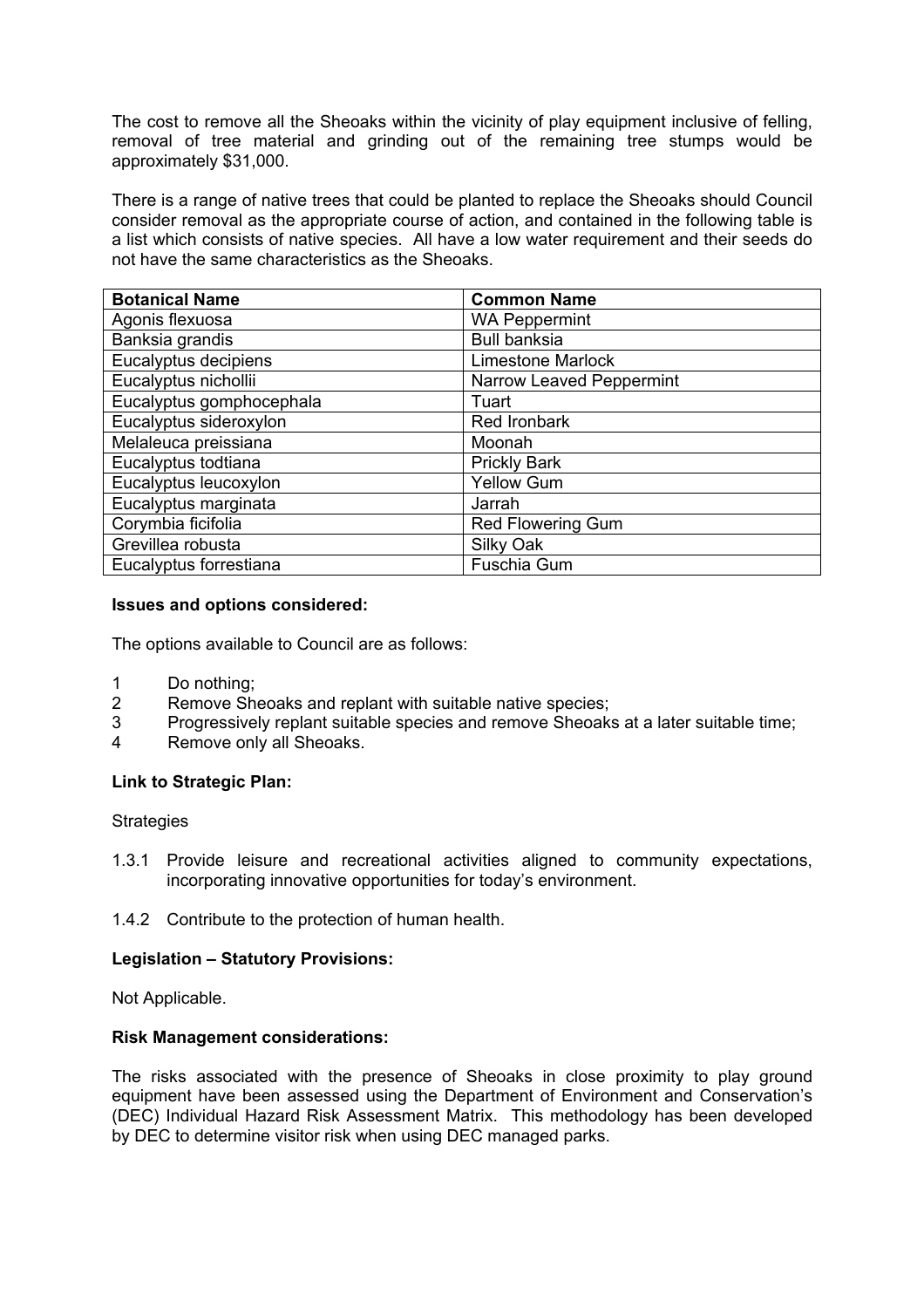The cost to remove all the Sheoaks within the vicinity of play equipment inclusive of felling, removal of tree material and grinding out of the remaining tree stumps would be approximately \$31,000.

There is a range of native trees that could be planted to replace the Sheoaks should Council consider removal as the appropriate course of action, and contained in the following table is a list which consists of native species. All have a low water requirement and their seeds do not have the same characteristics as the Sheoaks.

| <b>Botanical Name</b>    | <b>Common Name</b>       |  |
|--------------------------|--------------------------|--|
| Agonis flexuosa          | <b>WA Peppermint</b>     |  |
| Banksia grandis          | <b>Bull banksia</b>      |  |
| Eucalyptus decipiens     | <b>Limestone Marlock</b> |  |
| Eucalyptus nichollii     | Narrow Leaved Peppermint |  |
| Eucalyptus gomphocephala | Tuart                    |  |
| Eucalyptus sideroxylon   | Red Ironbark             |  |
| Melaleuca preissiana     | Moonah                   |  |
| Eucalyptus todtiana      | <b>Prickly Bark</b>      |  |
| Eucalyptus leucoxylon    | <b>Yellow Gum</b>        |  |
| Eucalyptus marginata     | Jarrah                   |  |
| Corymbia ficifolia       | <b>Red Flowering Gum</b> |  |
| Grevillea robusta        | Silky Oak                |  |
| Eucalyptus forrestiana   | <b>Fuschia Gum</b>       |  |

# **Issues and options considered:**

The options available to Council are as follows:

- 1 Do nothing;
- 2 Remove Sheoaks and replant with suitable native species;
- 3 Progressively replant suitable species and remove Sheoaks at a later suitable time;
- 4 Remove only all Sheoaks.

## **Link to Strategic Plan:**

## **Strategies**

- 1.3.1 Provide leisure and recreational activities aligned to community expectations, incorporating innovative opportunities for today's environment.
- 1.4.2 Contribute to the protection of human health.

# **Legislation – Statutory Provisions:**

Not Applicable.

## **Risk Management considerations:**

The risks associated with the presence of Sheoaks in close proximity to play ground equipment have been assessed using the Department of Environment and Conservation's (DEC) Individual Hazard Risk Assessment Matrix. This methodology has been developed by DEC to determine visitor risk when using DEC managed parks.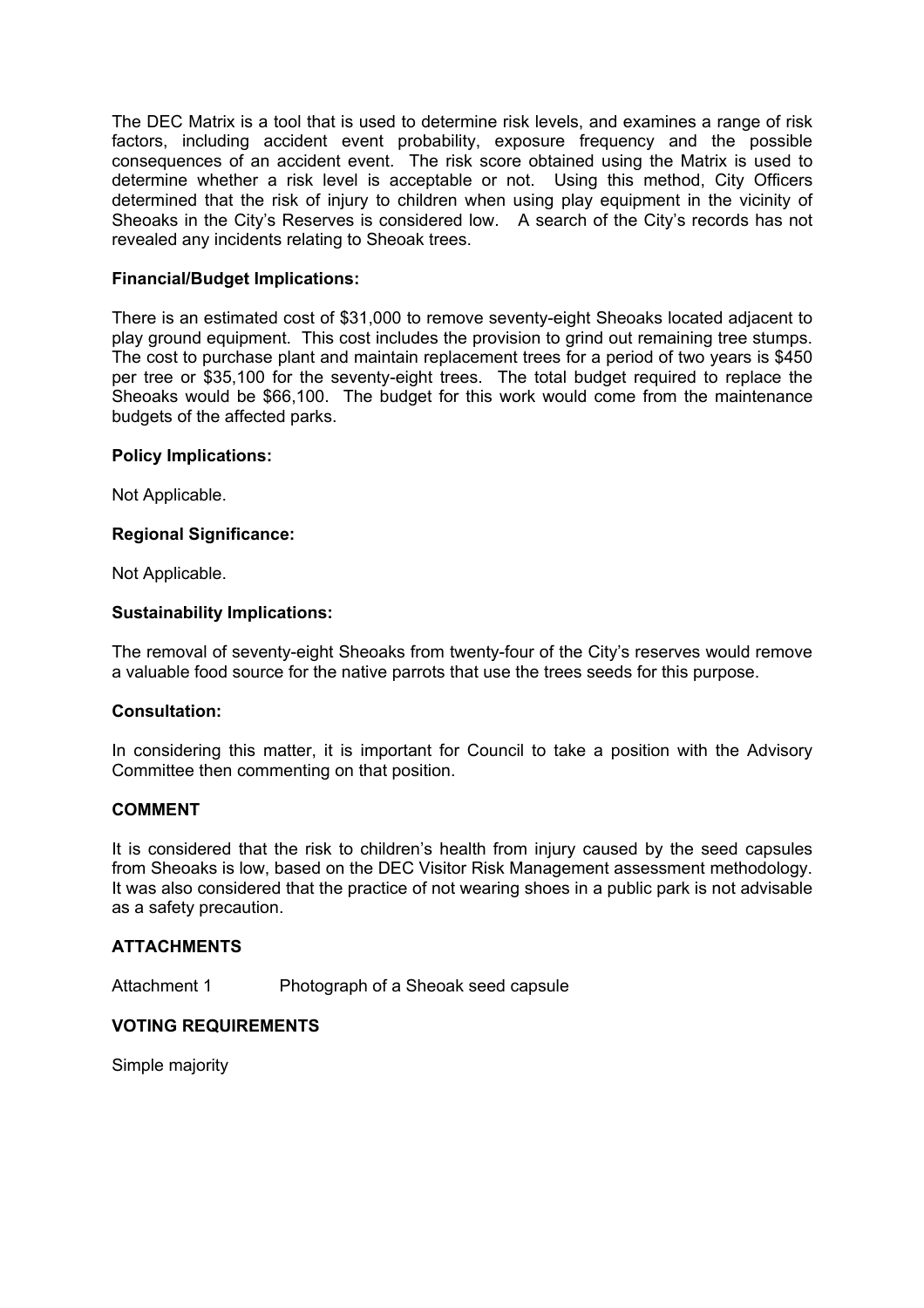The DEC Matrix is a tool that is used to determine risk levels, and examines a range of risk factors, including accident event probability, exposure frequency and the possible consequences of an accident event. The risk score obtained using the Matrix is used to determine whether a risk level is acceptable or not. Using this method, City Officers determined that the risk of injury to children when using play equipment in the vicinity of Sheoaks in the City's Reserves is considered low. A search of the City's records has not revealed any incidents relating to Sheoak trees.

# **Financial/Budget Implications:**

There is an estimated cost of \$31,000 to remove seventy-eight Sheoaks located adjacent to play ground equipment. This cost includes the provision to grind out remaining tree stumps. The cost to purchase plant and maintain replacement trees for a period of two years is \$450 per tree or \$35,100 for the seventy-eight trees. The total budget required to replace the Sheoaks would be \$66,100. The budget for this work would come from the maintenance budgets of the affected parks.

# **Policy Implications:**

Not Applicable.

# **Regional Significance:**

Not Applicable.

# **Sustainability Implications:**

The removal of seventy-eight Sheoaks from twenty-four of the City's reserves would remove a valuable food source for the native parrots that use the trees seeds for this purpose.

## **Consultation:**

In considering this matter, it is important for Council to take a position with the Advisory Committee then commenting on that position.

# **COMMENT**

It is considered that the risk to children's health from injury caused by the seed capsules from Sheoaks is low, based on the DEC Visitor Risk Management assessment methodology. It was also considered that the practice of not wearing shoes in a public park is not advisable as a safety precaution.

## **ATTACHMENTS**

Attachment 1 Photograph of a Sheoak seed capsule

# **VOTING REQUIREMENTS**

Simple majority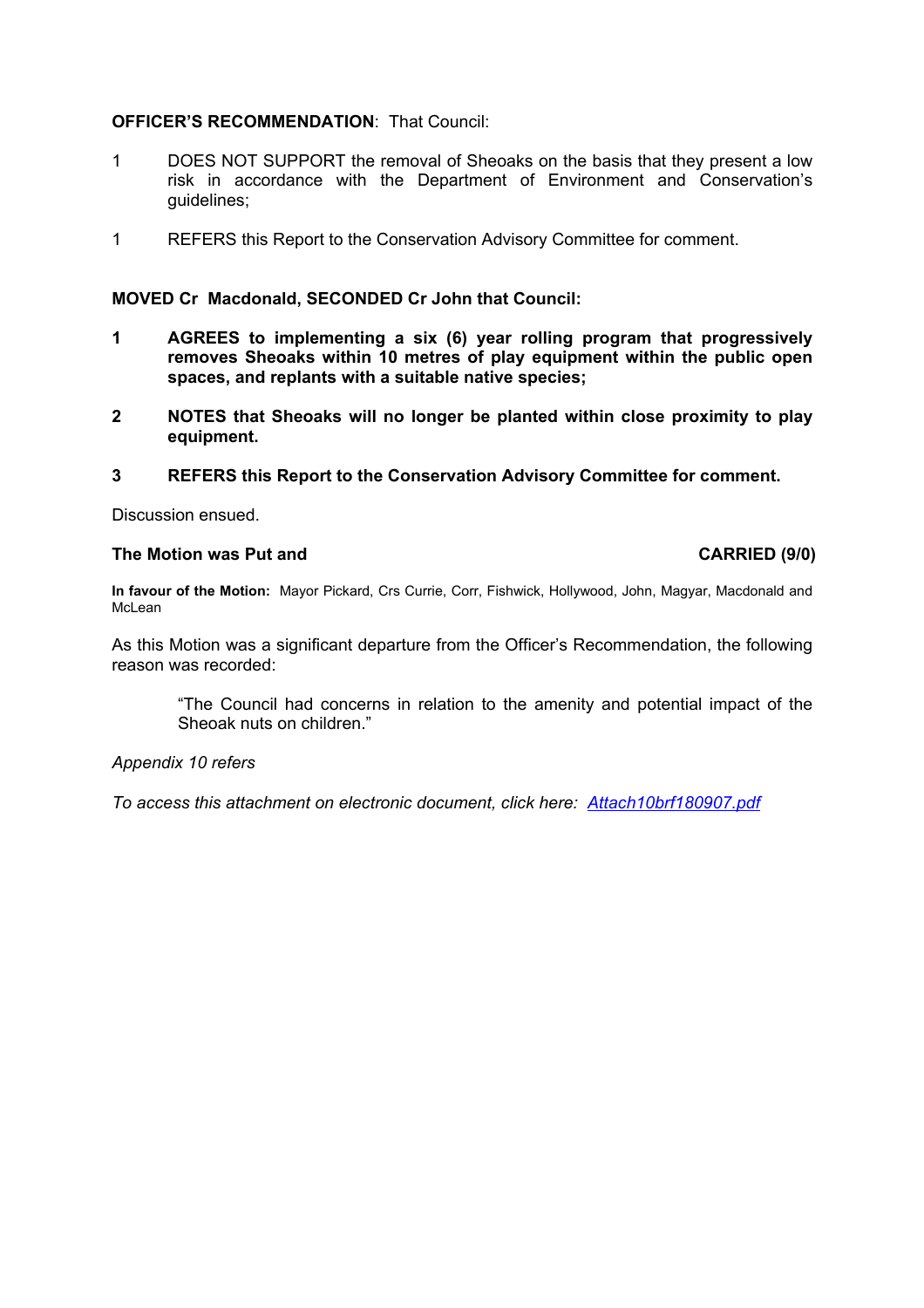# **OFFICER'S RECOMMENDATION**: That Council:

- 1 DOES NOT SUPPORT the removal of Sheoaks on the basis that they present a low risk in accordance with the Department of Environment and Conservation's guidelines;
- 1 REFERS this Report to the Conservation Advisory Committee for comment.

## **MOVED Cr Macdonald, SECONDED Cr John that Council:**

- **1 AGREES to implementing a six (6) year rolling program that progressively removes Sheoaks within 10 metres of play equipment within the public open spaces, and replants with a suitable native species;**
- **2 NOTES that Sheoaks will no longer be planted within close proximity to play equipment.**
- **3 REFERS this Report to the Conservation Advisory Committee for comment.**

Discussion ensued.

# **The Motion was Put and CARRIED (9/0) CARRIED (9/0)**

**In favour of the Motion:** Mayor Pickard, Crs Currie, Corr, Fishwick, Hollywood, John, Magyar, Macdonald and McLean

As this Motion was a significant departure from the Officer's Recommendation, the following reason was recorded:

"The Council had concerns in relation to the amenity and potential impact of the Sheoak nuts on children."

## *Appendix 10 refers*

*To access this attachment on electronic document, click here: Attach10brf180907.pdf*